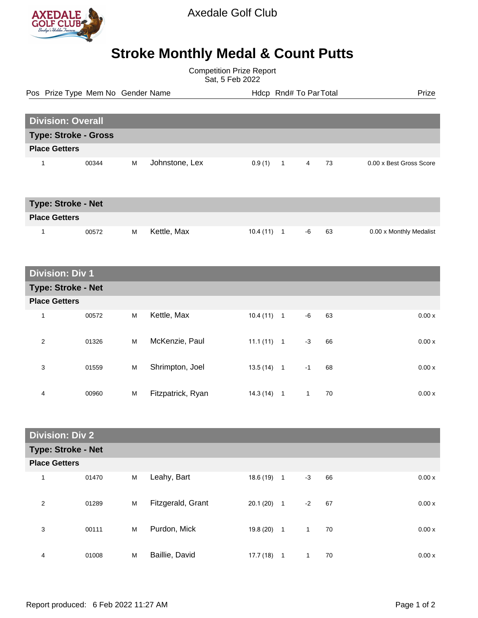

Axedale Golf Club

## **Stroke Monthly Medal & Count Putts**

Competition Prize Report Sat, 5 Feb 2022

Pos Prize Type Mem No Gender Name **Health Hotel Rnd# To ParTotal** Prize

| <b>Division: Overall</b>    |       |   |                |        |  |   |    |                         |
|-----------------------------|-------|---|----------------|--------|--|---|----|-------------------------|
| <b>Type: Stroke - Gross</b> |       |   |                |        |  |   |    |                         |
| <b>Place Getters</b>        |       |   |                |        |  |   |    |                         |
|                             | 00344 | м | Johnstone, Lex | 0.9(1) |  | 4 | 73 | 0.00 x Best Gross Score |

| <b>Type: Stroke - Net</b> |       |   |             |           |     |    |    |                         |
|---------------------------|-------|---|-------------|-----------|-----|----|----|-------------------------|
| <b>Place Getters</b>      |       |   |             |           |     |    |    |                         |
|                           | 00572 | M | Kettle, Max | 10.4 (11) | - 1 | -6 | 63 | 0.00 x Monthly Medalist |

## **Division: Div 1**

| <b>Type: Stroke - Net</b> |       |   |                   |          |                |      |    |       |
|---------------------------|-------|---|-------------------|----------|----------------|------|----|-------|
| <b>Place Getters</b>      |       |   |                   |          |                |      |    |       |
| 1                         | 00572 | M | Kettle, Max       | 10.4(11) | $\mathbf{1}$   | -6   | 63 | 0.00x |
| 2                         | 01326 | M | McKenzie, Paul    | 11.1(11) | $\overline{1}$ | $-3$ | 66 | 0.00x |
| 3                         | 01559 | M | Shrimpton, Joel   | 13.5(14) | $\mathbf{1}$   | $-1$ | 68 | 0.00x |
| 4                         | 00960 | M | Fitzpatrick, Ryan | 14.3(14) | 1              | 1    | 70 | 0.00x |

| <b>Division: Div 2</b> |                           |   |                   |              |                |              |    |  |       |
|------------------------|---------------------------|---|-------------------|--------------|----------------|--------------|----|--|-------|
|                        | <b>Type: Stroke - Net</b> |   |                   |              |                |              |    |  |       |
|                        | <b>Place Getters</b>      |   |                   |              |                |              |    |  |       |
| и                      | 01470                     | M | Leahy, Bart       | 18.6 (19)    | $\overline{1}$ | $-3$         | 66 |  | 0.00x |
| $\overline{2}$         | 01289                     | M | Fitzgerald, Grant | 20.1(20)     | $\mathbf{1}$   | $-2$         | 67 |  | 0.00x |
| 3                      | 00111                     | M | Purdon, Mick      | $19.8(20)$ 1 |                | 1            | 70 |  | 0.00x |
| 4                      | 01008                     | M | Baillie, David    | 17.7(18)     | $\overline{1}$ | $\mathbf{1}$ | 70 |  | 0.00x |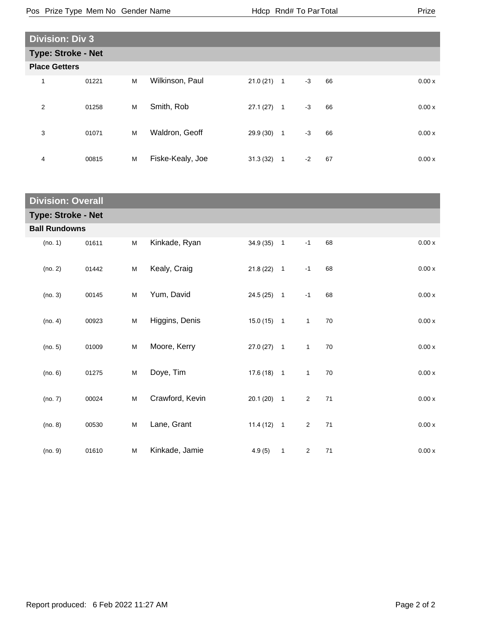|                      | <b>Division: Div 3</b>    |   |                  |              |              |      |    |       |  |
|----------------------|---------------------------|---|------------------|--------------|--------------|------|----|-------|--|
|                      | <b>Type: Stroke - Net</b> |   |                  |              |              |      |    |       |  |
| <b>Place Getters</b> |                           |   |                  |              |              |      |    |       |  |
| 1                    | 01221                     | M | Wilkinson, Paul  | $21.0(21)$ 1 |              | $-3$ | 66 | 0.00x |  |
| 2                    | 01258                     | M | Smith, Rob       | $27.1(27)$ 1 |              | $-3$ | 66 | 0.00x |  |
| 3                    | 01071                     | M | Waldron, Geoff   | 29.9 (30)    | $\mathbf{1}$ | $-3$ | 66 | 0.00x |  |
| 4                    | 00815                     | M | Fiske-Kealy, Joe | 31.3(32)     | $\mathbf{1}$ | $-2$ | 67 | 0.00x |  |

| <b>Division: Overall</b>  |       |   |                 |              |              |                |    |         |  |
|---------------------------|-------|---|-----------------|--------------|--------------|----------------|----|---------|--|
| <b>Type: Stroke - Net</b> |       |   |                 |              |              |                |    |         |  |
| <b>Ball Rundowns</b>      |       |   |                 |              |              |                |    |         |  |
| (no. 1)                   | 01611 | M | Kinkade, Ryan   | $34.9(35)$ 1 |              | $-1$           | 68 | $0.00x$ |  |
| (no. 2)                   | 01442 | M | Kealy, Craig    | $21.8(22)$ 1 |              | $-1$           | 68 | $0.00x$ |  |
| (no. 3)                   | 00145 | M | Yum, David      | $24.5(25)$ 1 |              | $-1$           | 68 | 0.00x   |  |
| (no. 4)                   | 00923 | M | Higgins, Denis  | $15.0(15)$ 1 |              | $\mathbf{1}$   | 70 | 0.00x   |  |
| (no. 5)                   | 01009 | M | Moore, Kerry    | $27.0(27)$ 1 |              | $\mathbf{1}$   | 70 | 0.00x   |  |
| (no. 6)                   | 01275 | M | Doye, Tim       | $17.6(18)$ 1 |              | $\mathbf{1}$   | 70 | 0.00x   |  |
| (no. 7)                   | 00024 | M | Crawford, Kevin | $20.1(20)$ 1 |              | $\overline{2}$ | 71 | 0.00x   |  |
| (no. 8)                   | 00530 | M | Lane, Grant     | $11.4(12)$ 1 |              | $\overline{2}$ | 71 | 0.00x   |  |
| (no. 9)                   | 01610 | M | Kinkade, Jamie  | 4.9(5)       | $\mathbf{1}$ | $\overline{2}$ | 71 | 0.00x   |  |